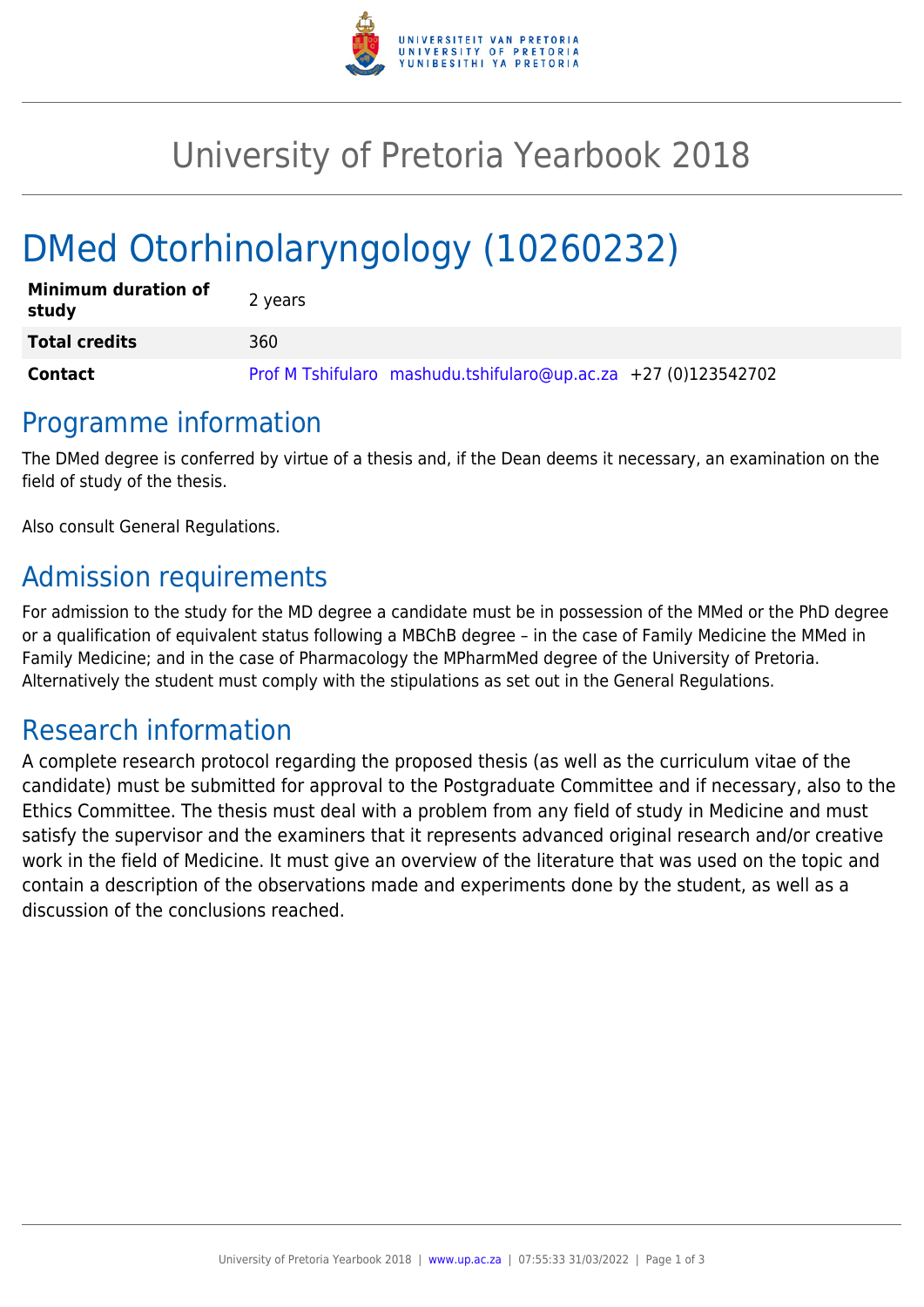

## University of Pretoria Yearbook 2018

# DMed Otorhinolaryngology (10260232)

| <b>Minimum duration of</b><br>study | 2 years                                                        |
|-------------------------------------|----------------------------------------------------------------|
| <b>Total credits</b>                | 360                                                            |
| Contact                             | Prof M Tshifularo mashudu.tshifularo@up.ac.za +27 (0)123542702 |

### Programme information

The DMed degree is conferred by virtue of a thesis and, if the Dean deems it necessary, an examination on the field of study of the thesis.

Also consult General Regulations.

## Admission requirements

For admission to the study for the MD degree a candidate must be in possession of the MMed or the PhD degree or a qualification of equivalent status following a MBChB degree – in the case of Family Medicine the MMed in Family Medicine; and in the case of Pharmacology the MPharmMed degree of the University of Pretoria. Alternatively the student must comply with the stipulations as set out in the General Regulations.

## Research information

A complete research protocol regarding the proposed thesis (as well as the curriculum vitae of the candidate) must be submitted for approval to the Postgraduate Committee and if necessary, also to the Ethics Committee. The thesis must deal with a problem from any field of study in Medicine and must satisfy the supervisor and the examiners that it represents advanced original research and/or creative work in the field of Medicine. It must give an overview of the literature that was used on the topic and contain a description of the observations made and experiments done by the student, as well as a discussion of the conclusions reached.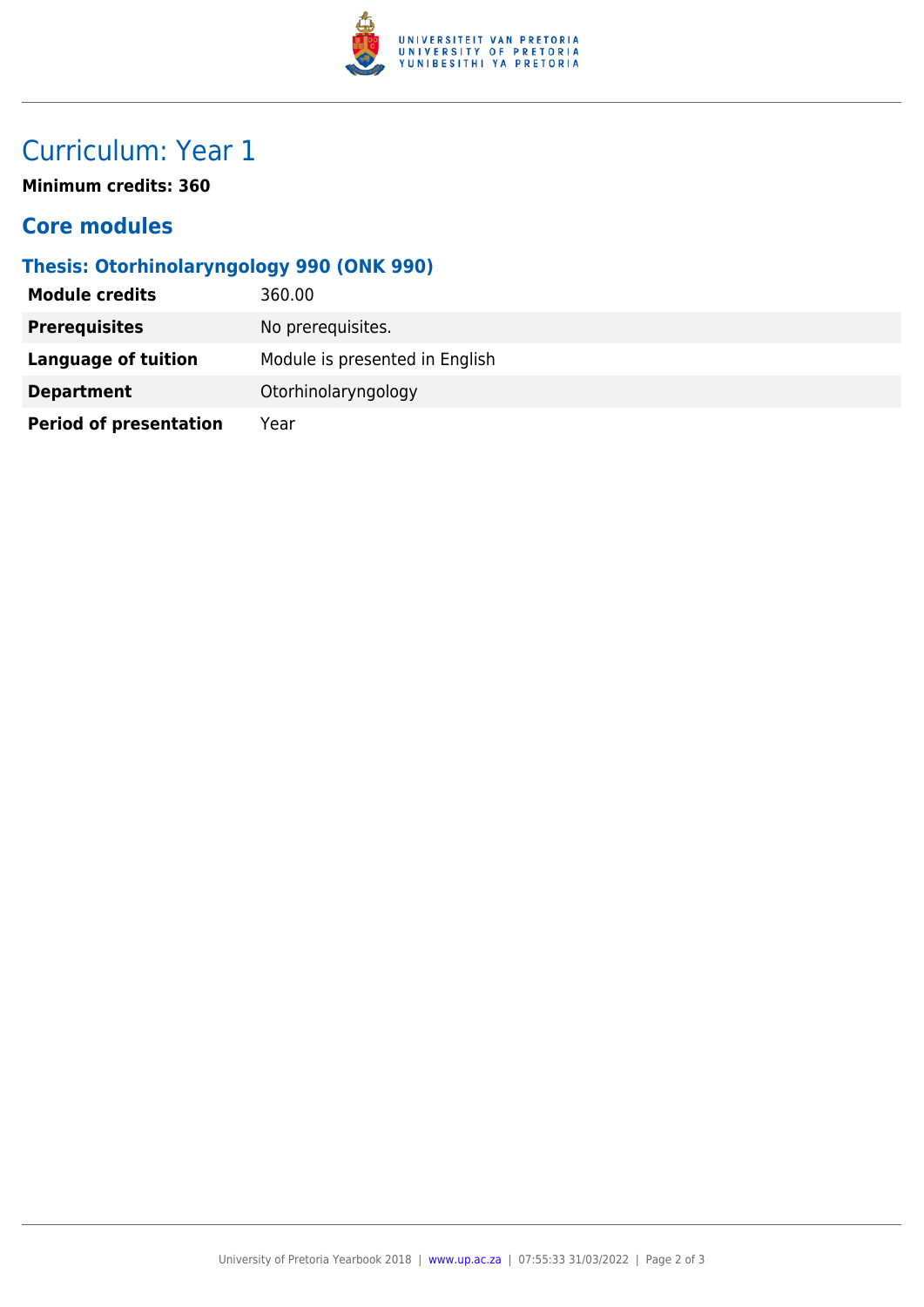

## Curriculum: Year 1

**Minimum credits: 360**

#### **Core modules**

#### **Thesis: Otorhinolaryngology 990 (ONK 990)**

| <b>Module credits</b>         | 360.00                         |
|-------------------------------|--------------------------------|
| <b>Prerequisites</b>          | No prerequisites.              |
| <b>Language of tuition</b>    | Module is presented in English |
| <b>Department</b>             | Otorhinolaryngology            |
| <b>Period of presentation</b> | Year                           |